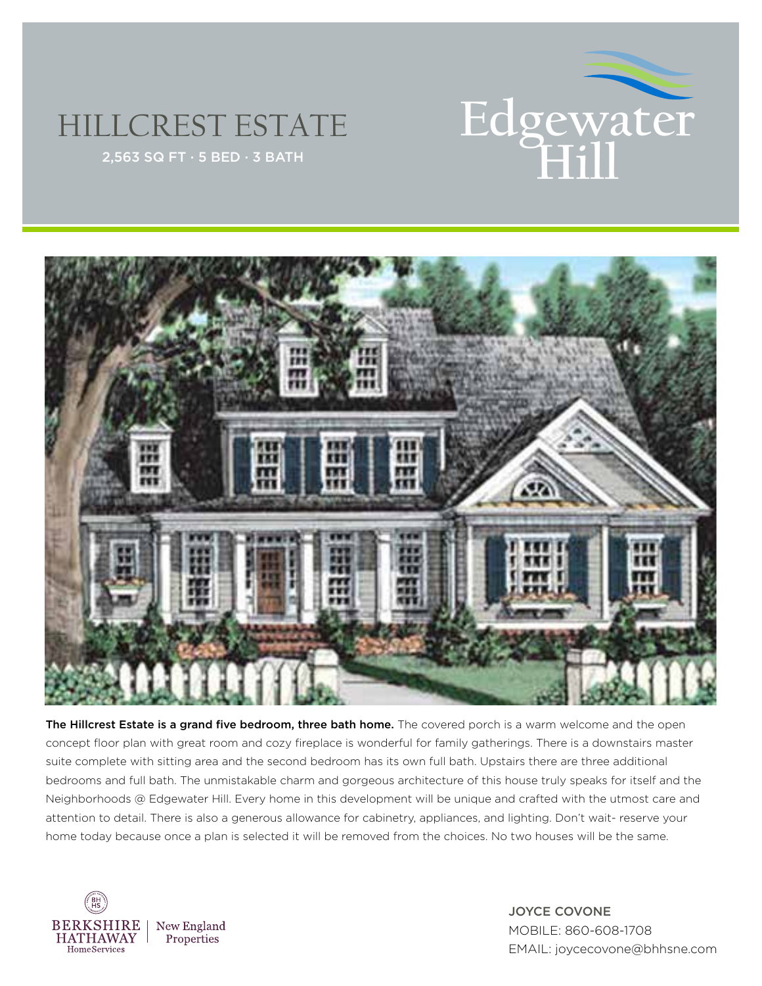

## HILLCREST ESTATE



The Hillcrest Estate is a grand five bedroom, three bath home. The covered porch is a warm welcome and the open concept floor plan with great room and cozy fireplace is wonderful for family gatherings. There is a downstairs master suite complete with sitting area and the second bedroom has its own full bath. Upstairs there are three additional bedrooms and full bath. The unmistakable charm and gorgeous architecture of this house truly speaks for itself and the Neighborhoods @ Edgewater Hill. Every home in this development will be unique and crafted with the utmost care and attention to detail. There is also a generous allowance for cabinetry, appliances, and lighting. Don't wait- reserve your home today because once a plan is selected it will be removed from the choices. No two houses will be the same.



JOYCE COVONE MOBILE: 860-608-1708 EMAIL: joycecovone@bhhsne.com